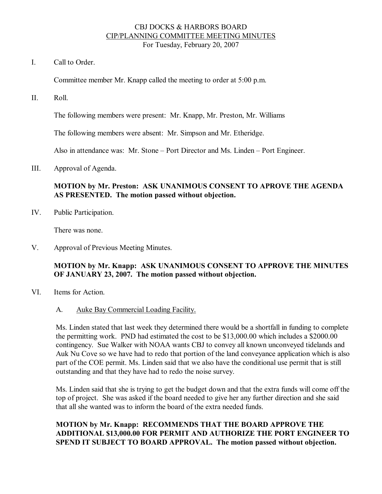#### CBJ DOCKS & HARBORS BOARD CIP/PLANNING COMMITTEE MEETING MINUTES For Tuesday, February 20, 2007

I. Call to Order.

Committee member Mr. Knapp called the meeting to order at 5:00 p.m.

II. Roll.

The following members were present: Mr. Knapp, Mr. Preston, Mr. Williams

The following members were absent: Mr. Simpson and Mr. Etheridge.

Also in attendance was: Mr. Stone – Port Director and Ms. Linden – Port Engineer.

III. Approval of Agenda.

### **MOTION by Mr. Preston: ASK UNANIMOUS CONSENT TO APROVE THE AGENDA AS PRESENTED. The motion passed without objection.**

IV. Public Participation.

There was none.

V. Approval of Previous Meeting Minutes.

### **MOTION by Mr. Knapp: ASK UNANIMOUS CONSENT TO APPROVE THE MINUTES OF JANUARY 23, 2007. The motion passed without objection.**

- VI. Items for Action.
	- A. Auke Bay Commercial Loading Facility.

Ms. Linden stated that last week they determined there would be a shortfall in funding to complete the permitting work. PND had estimated the cost to be \$13,000.00 which includes a \$2000.00 contingency. Sue Walker with NOAA wants CBJ to convey all known unconveyed tidelands and Auk Nu Cove so we have had to redo that portion of the land conveyance application which is also part of the COE permit. Ms. Linden said that we also have the conditional use permit that is still outstanding and that they have had to redo the noise survey.

Ms. Linden said that she is trying to get the budget down and that the extra funds will come off the top of project. She was asked if the board needed to give her any further direction and she said that all she wanted was to inform the board of the extra needed funds.

# **MOTION by Mr. Knapp: RECOMMENDS THAT THE BOARD APPROVE THE ADDITIONAL \$13,000.00 FOR PERMIT AND AUTHORIZE THE PORT ENGINEER TO SPEND IT SUBJECT TO BOARD APPROVAL. The motion passed without objection.**